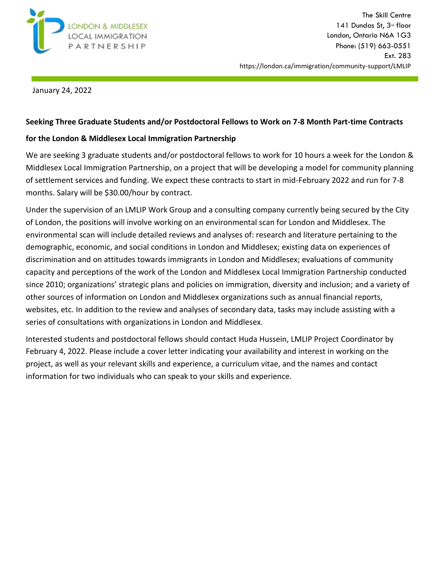

January 24, 2022

## **Seeking Three Graduate Students and/or Postdoctoral Fellows to Work on 7-8 Month Part-time Contracts**

## **for the London & Middlesex Local Immigration Partnership**

We are seeking 3 graduate students and/or postdoctoral fellows to work for 10 hours a week for the London & Middlesex Local Immigration Partnership, on a project that will be developing a model for community planning of settlement services and funding. We expect these contracts to start in mid-February 2022 and run for 7-8 months. Salary will be \$30.00/hour by contract.

Under the supervision of an LMLIP Work Group and a consulting company currently being secured by the City of London, the positions will involve working on an environmental scan for London and Middlesex. The environmental scan will include detailed reviews and analyses of: research and literature pertaining to the demographic, economic, and social conditions in London and Middlesex; existing data on experiences of discrimination and on attitudes towards immigrants in London and Middlesex; evaluations of community capacity and perceptions of the work of the London and Middlesex Local Immigration Partnership conducted since 2010; organizations' strategic plans and policies on immigration, diversity and inclusion; and a variety of other sources of information on London and Middlesex organizations such as annual financial reports, websites, etc. In addition to the review and analyses of secondary data, tasks may include assisting with a series of consultations with organizations in London and Middlesex.

Interested students and postdoctoral fellows should contact Huda Hussein, LMLIP Project Coordinator by February 4, 2022. Please include a cover letter indicating your availability and interest in working on the project, as well as your relevant skills and experience, a curriculum vitae, and the names and contact information for two individuals who can speak to your skills and experience.